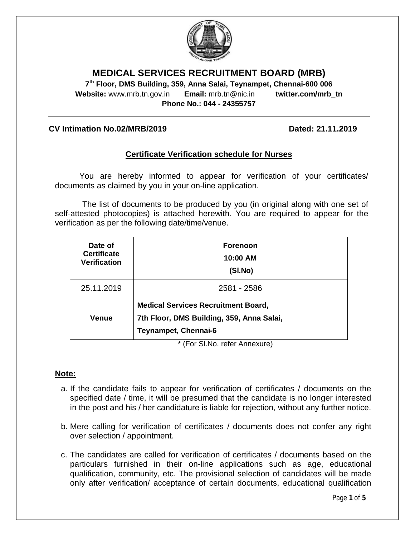

# **MEDICAL SERVICES RECRUITMENT BOARD (MRB)**

**7 th Floor, DMS Building, 359, Anna Salai, Teynampet, Chennai-600 006 Website:** www.mrb.tn.gov.in **Email:** mrb.tn@nic.in **twitter.com/mrb\_tn Phone No.: 044 - 24355757**

### **CV Intimation No.02/MRB/2019 Dated: 21.11.2019**

## **Certificate Verification schedule for Nurses**

You are hereby informed to appear for verification of your certificates/ documents as claimed by you in your on-line application.

The list of documents to be produced by you (in original along with one set of self-attested photocopies) is attached herewith. You are required to appear for the verification as per the following date/time/venue.

| Date of<br><b>Certificate</b><br><b>Verification</b> | <b>Forenoon</b><br>10:00 AM<br>(SI.No)                                                                          |
|------------------------------------------------------|-----------------------------------------------------------------------------------------------------------------|
| 25.11.2019                                           | 2581 - 2586                                                                                                     |
| <b>Venue</b>                                         | <b>Medical Services Recruitment Board,</b><br>7th Floor, DMS Building, 359, Anna Salai,<br>Teynampet, Chennai-6 |

\* (For Sl.No. refer Annexure)

### **Note:**

- a. If the candidate fails to appear for verification of certificates / documents on the specified date / time, it will be presumed that the candidate is no longer interested in the post and his / her candidature is liable for rejection, without any further notice.
- b. Mere calling for verification of certificates / documents does not confer any right over selection / appointment.
- c. The candidates are called for verification of certificates / documents based on the particulars furnished in their on-line applications such as age, educational qualification, community, etc. The provisional selection of candidates will be made only after verification/ acceptance of certain documents, educational qualification

Page **1** of **5**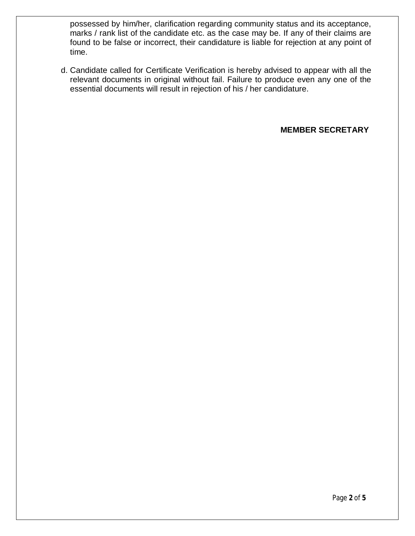possessed by him/her, clarification regarding community status and its acceptance, marks / rank list of the candidate etc. as the case may be. If any of their claims are found to be false or incorrect, their candidature is liable for rejection at any point of time.

d. Candidate called for Certificate Verification is hereby advised to appear with all the relevant documents in original without fail. Failure to produce even any one of the essential documents will result in rejection of his / her candidature.

**MEMBER SECRETARY**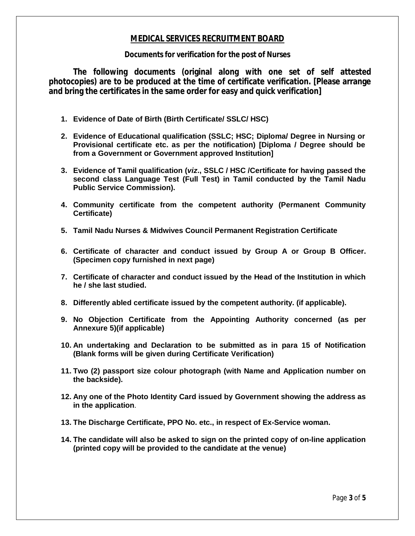### **MEDICAL SERVICES RECRUITMENT BOARD**

#### **Documents for verification for the post of Nurses**

**The following documents (original along with one set of self attested photocopies) are to be produced at the time of certificate verification. [Please arrange and bring the certificates in the same order for easy and quick verification]**

- **1. Evidence of Date of Birth (Birth Certificate/ SSLC/ HSC)**
- **2. Evidence of Educational qualification (SSLC; HSC; Diploma/ Degree in Nursing or Provisional certificate etc. as per the notification) [Diploma / Degree should be from a Government or Government approved Institution]**
- **3. Evidence of Tamil qualification (***viz***., SSLC / HSC /Certificate for having passed the second class Language Test (Full Test) in Tamil conducted by the Tamil Nadu Public Service Commission).**
- **4. Community certificate from the competent authority (Permanent Community Certificate)**
- **5. Tamil Nadu Nurses & Midwives Council Permanent Registration Certificate**
- **6. Certificate of character and conduct issued by Group A or Group B Officer. (Specimen copy furnished in next page)**
- **7. Certificate of character and conduct issued by the Head of the Institution in which he / she last studied.**
- **8. Differently abled certificate issued by the competent authority. (if applicable).**
- **9. No Objection Certificate from the Appointing Authority concerned (as per Annexure 5)(if applicable)**
- **10. An undertaking and Declaration to be submitted as in para 15 of Notification (Blank forms will be given during Certificate Verification)**
- **11. Two (2) passport size colour photograph (with Name and Application number on the backside).**
- **12. Any one of the Photo Identity Card issued by Government showing the address as in the application**.
- **13. The Discharge Certificate, PPO No. etc., in respect of Ex-Service woman.**
- **14. The candidate will also be asked to sign on the printed copy of on-line application (printed copy will be provided to the candidate at the venue)**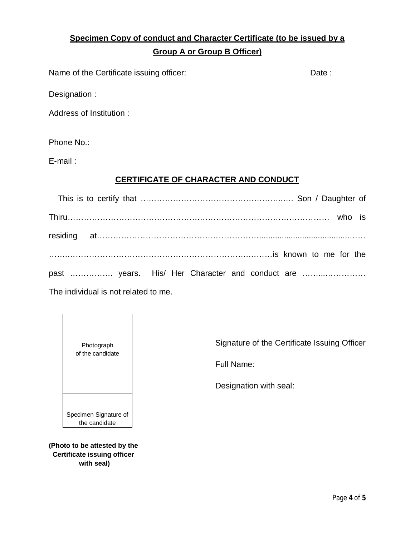# **Specimen Copy of conduct and Character Certificate (to be issued by a Group A or Group B Officer)**

Name of the Certificate issuing officer: Date: Date:

Designation :

Address of Institution :

Phone No.:

E-mail :

## **CERTIFICATE OF CHARACTER AND CONDUCT**

| past  years. His/ Her Character and conduct are |  |
|-------------------------------------------------|--|

The individual is not related to me.



**(Photo to be attested by the Certificate issuing officer with seal)**

Signature of the Certificate Issuing Officer

Full Name:

Designation with seal: